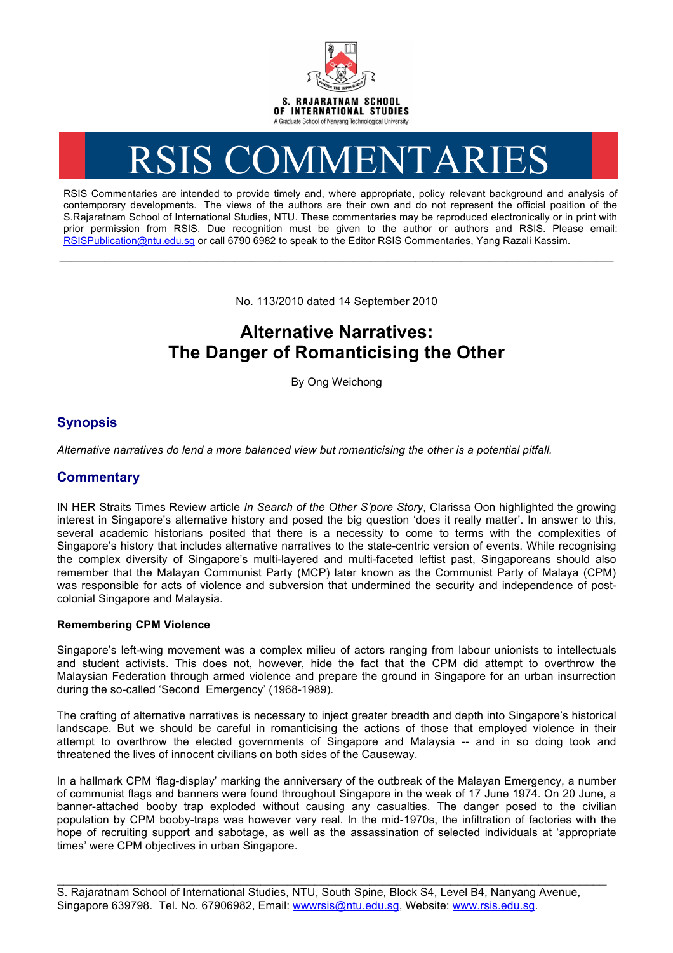

# RSIS COMMENTARIES

RSIS Commentaries are intended to provide timely and, where appropriate, policy relevant background and analysis of contemporary developments. The views of the authors are their own and do not represent the official position of the S.Rajaratnam School of International Studies, NTU. These commentaries may be reproduced electronically or in print with prior permission from RSIS. Due recognition must be given to the author or authors and RSIS. Please email: RSISPublication@ntu.edu.sg or call 6790 6982 to speak to the Editor RSIS Commentaries, Yang Razali Kassim.

No. 113/2010 dated 14 September 2010

**\_\_\_\_\_\_\_\_\_\_\_\_\_\_\_\_\_\_\_\_\_\_\_\_\_\_\_\_\_\_\_\_\_\_\_\_\_\_\_\_\_\_\_\_\_\_\_\_\_\_\_\_\_\_\_\_\_\_\_\_\_\_\_\_\_\_\_\_\_\_\_\_\_\_\_\_\_\_\_\_\_\_\_\_\_\_\_\_\_\_\_\_\_\_\_\_\_\_**

# **Alternative Narratives: The Danger of Romanticising the Other**

By Ong Weichong

## **Synopsis**

*Alternative narratives do lend a more balanced view but romanticising the other is a potential pitfall.*

### **Commentary**

IN HER Straits Times Review article *In Search of the Other S'pore Story*, Clarissa Oon highlighted the growing interest in Singapore's alternative history and posed the big question 'does it really matter'. In answer to this, several academic historians posited that there is a necessity to come to terms with the complexities of Singapore's history that includes alternative narratives to the state-centric version of events. While recognising the complex diversity of Singapore's multi-layered and multi-faceted leftist past, Singaporeans should also remember that the Malayan Communist Party (MCP) later known as the Communist Party of Malaya (CPM) was responsible for acts of violence and subversion that undermined the security and independence of postcolonial Singapore and Malaysia.

#### **Remembering CPM Violence**

Singapore's left-wing movement was a complex milieu of actors ranging from labour unionists to intellectuals and student activists. This does not, however, hide the fact that the CPM did attempt to overthrow the Malaysian Federation through armed violence and prepare the ground in Singapore for an urban insurrection during the so-called 'Second Emergency' (1968-1989).

The crafting of alternative narratives is necessary to inject greater breadth and depth into Singapore's historical landscape. But we should be careful in romanticising the actions of those that employed violence in their attempt to overthrow the elected governments of Singapore and Malaysia -- and in so doing took and threatened the lives of innocent civilians on both sides of the Causeway.

In a hallmark CPM 'flag-display' marking the anniversary of the outbreak of the Malayan Emergency, a number of communist flags and banners were found throughout Singapore in the week of 17 June 1974. On 20 June, a banner-attached booby trap exploded without causing any casualties. The danger posed to the civilian population by CPM booby-traps was however very real. In the mid-1970s, the infiltration of factories with the hope of recruiting support and sabotage, as well as the assassination of selected individuals at 'appropriate times' were CPM objectives in urban Singapore.